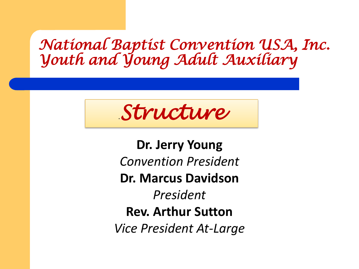### *National Baptist Convention USA, Inc. Youth and Young Adult Auxiliary*

.*Structure* 

**Dr. Jerry Young** *Convention President*  **Dr. Marcus Davidson**  *President* **Rev. Arthur Sutton** *Vice President At-Large*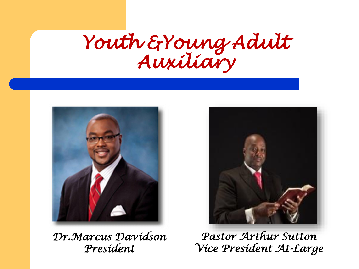## *Youth &Young Adult Auxiliary*



*Dr.Marcus Davidson President*



*Pastor Arthur Sutton Vice President At-Large*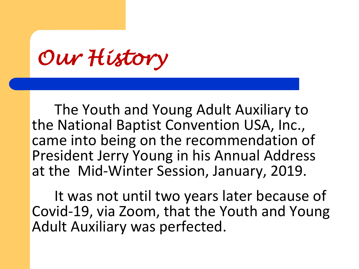*Our History*

The Youth and Young Adult Auxiliary to the National Baptist Convention USA, Inc., came into being on the recommendation of President Jerry Young in his Annual Address at the Mid-Winter Session, January, 2019.

It was not until two years later because of Covid-19, via Zoom, that the Youth and Young Adult Auxiliary was perfected.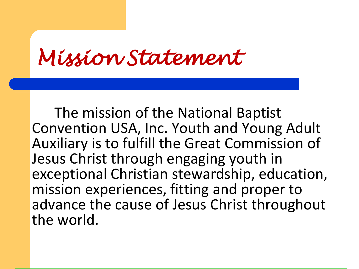*Mission Statement*

The mission of the National Baptist Convention USA, Inc. Youth and Young Adult Auxiliary is to fulfill the Great Commission of Jesus Christ through engaging youth in exceptional Christian stewardship, education, mission experiences, fitting and proper to advance the cause of Jesus Christ throughout the world.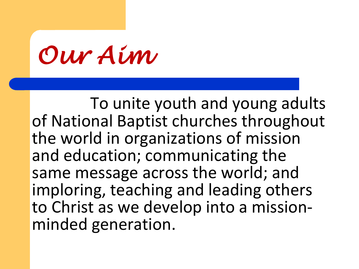*Our Aim*

To unite youth and young adults of National Baptist churches throughout the world in organizations of mission and education; communicating the same message across the world; and imploring, teaching and leading others to Christ as we develop into a missionminded generation.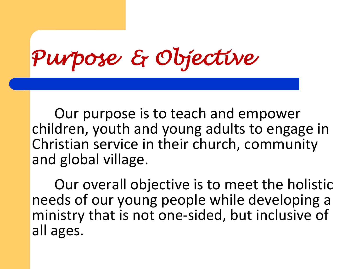*Purpose & Objective*

Our purpose is to teach and empower children, youth and young adults to engage in Christian service in their church, community and global village.

Our overall objective is to meet the holistic needs of our young people while developing a ministry that is not one-sided, but inclusive of all ages.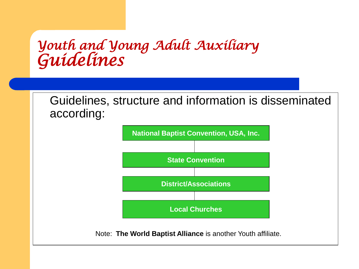### *Youth and Young Adult Auxiliary Guidelines*

Guidelines, structure and information is disseminated according:



Note: **The World Baptist Alliance** is another Youth affiliate.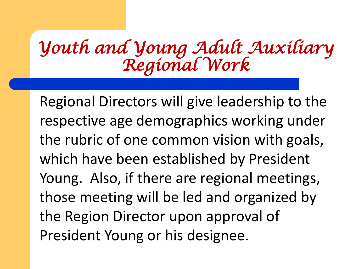Regional Directors will give leadership to the respective age demographics working under the rubric of one common vision with goals, which have been established by President Young. Also, if there are regional meetings, those meeting will be led and organized by the Region Director upon approval of President Young or his designee.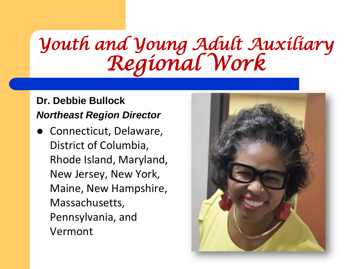#### **Dr. Debbie Bullock** *Northeast Region Director*

 Connecticut, Delaware, District of Columbia, Rhode Island, Maryland, New Jersey, New York, Maine, New Hampshire, Massachusetts, Pennsylvania, and Vermont

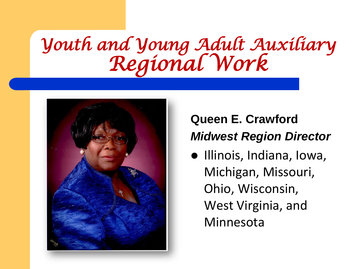

### **Queen E. Crawford** *Midwest Region Director*

 $\bullet$  Illinois, Indiana, Iowa, Michigan, Missouri, Ohio, Wisconsin, West Virginia, and Minnesota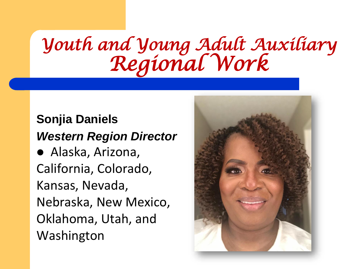#### **Sonjia Daniels** *Western Region Director*

 Alaska, Arizona, California, Colorado, Kansas, Nevada, Nebraska, New Mexico, Oklahoma, Utah, and Washington

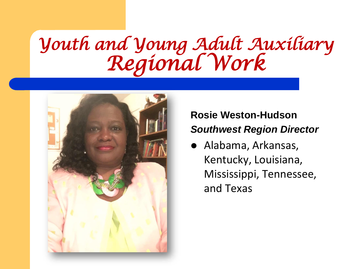

#### **Rosie Weston-Hudson** *Southwest Region Director*

 Alabama, Arkansas, Kentucky, Louisiana, Mississippi, Tennessee, and Texas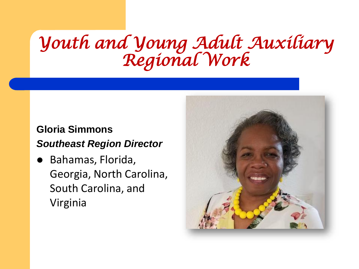#### **Gloria Simmons** *Southeast Region Director*

 Bahamas, Florida, Georgia, North Carolina, South Carolina, and Virginia

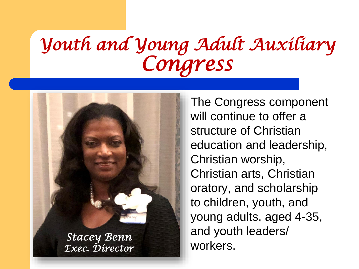# *Youth and Young Adult Auxiliary Congress*



*Stacey Benn Exec. Director* The Congress component will continue to offer a structure of Christian education and leadership, Christian worship, Christian arts, Christian oratory, and scholarship to children, youth, and young adults, aged 4-35, and youth leaders/ workers.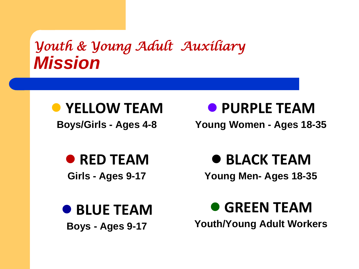### *Youth & Young Adult Auxiliary Mission*



**Boys/Girls - Ages 4-8**

● **PURPLE TEAM**

**Young Women - Ages 18-35**

● **RED TEAM Girls - Ages 9-17**

● **BLUE TEAM Boys - Ages 9-17**

● **BLACK TEAM**

**Young Men- Ages 18-35**

● **GREEN TEAM Youth/Young Adult Workers**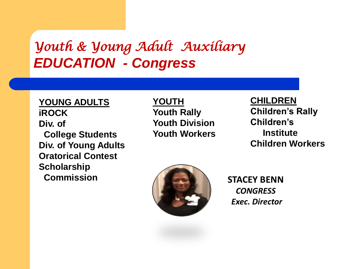### *Youth & Young Adult Auxiliary EDUCATION - Congress*

**YOUNG ADULTS iROCK Div. of College Students Div. of Young Adults Oratorical Contest Scholarship Commission**

**YOUTH Youth Rally Youth Division Youth Workers** 

**CHILDREN Children's Rally Children's Institute Children Workers**



**STACEY BENN** *CONGRESS Exec. Director*